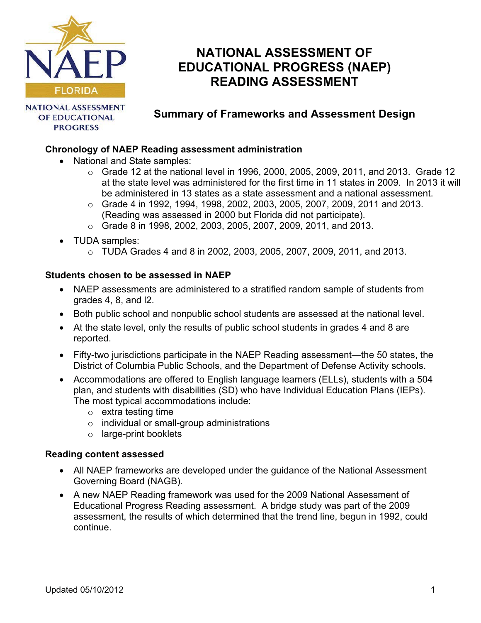

# **NATIONAL ASSESSMENT OF EDUCATIONAL PROGRESS (NAEP) READING ASSESSMENT**

**NATIONAL ASSESSMENT** OF EDUCATIONAL **PROGRESS** 

# **Summary of Frameworks and Assessment Design**

# **Chronology of NAEP Reading assessment administration**

- National and State samples:
	- $\circ$  Grade 12 at the national level in 1996, 2000, 2005, 2009, 2011, and 2013. Grade 12 at the state level was administered for the first time in 11 states in 2009. In 2013 it will be administered in 13 states as a state assessment and a national assessment.
	- $\circ$  Grade 4 in 1992, 1994, 1998, 2002, 2003, 2005, 2007, 2009, 2011 and 2013. (Reading was assessed in 2000 but Florida did not participate).
	- $\circ$  Grade 8 in 1998, 2002, 2003, 2005, 2007, 2009, 2011, and 2013.
- TUDA samples:
	- $\circ$  TUDA Grades 4 and 8 in 2002, 2003, 2005, 2007, 2009, 2011, and 2013.

## **Students chosen to be assessed in NAEP**

- NAEP assessments are administered to a stratified random sample of students from grades 4, 8, and l2.
- Both public school and nonpublic school students are assessed at the national level.
- At the state level, only the results of public school students in grades 4 and 8 are reported.
- Fifty-two jurisdictions participate in the NAEP Reading assessment—the 50 states, the District of Columbia Public Schools, and the Department of Defense Activity schools.
- Accommodations are offered to English language learners (ELLs), students with a 504 plan, and students with disabilities (SD) who have Individual Education Plans (IEPs). The most typical accommodations include:
	- $\circ$  extra testing time
	- $\circ$  individual or small-group administrations
	- $\circ$  large-print booklets

#### **Reading content assessed**

- All NAEP frameworks are developed under the guidance of the National Assessment Governing Board (NAGB).
- A new NAEP Reading framework was used for the 2009 National Assessment of Educational Progress Reading assessment. A bridge study was part of the 2009 assessment, the results of which determined that the trend line, begun in 1992, could continue.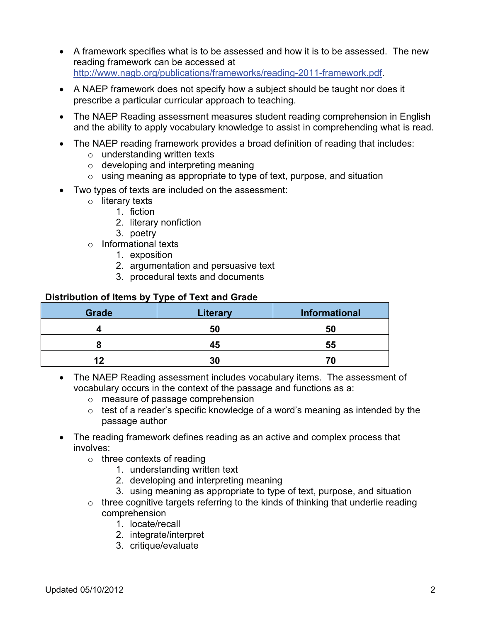- A framework specifies what is to be assessed and how it is to be assessed. The new reading framework can be accessed at [http://www.nagb.org/publications/frameworks/reading-2011-framework.pdf.](http://www.nagb.org/publications/frameworks/reading-2011-framework.pdf)
- A NAEP framework does not specify how a subject should be taught nor does it prescribe a particular curricular approach to teaching.
- The NAEP Reading assessment measures student reading comprehension in English and the ability to apply vocabulary knowledge to assist in comprehending what is read.
- The NAEP reading framework provides a broad definition of reading that includes:
	- $\circ$  understanding written texts
	- $\circ$  developing and interpreting meaning
	- $\circ$  using meaning as appropriate to type of text, purpose, and situation
- Two types of texts are included on the assessment:
	- o literary texts
		- 1. fiction
		- 2. literary nonfiction
		- 3. poetry
	- $\circ$  Informational texts
		- 1. exposition
		- 2. argumentation and persuasive text
		- 3. procedural texts and documents

#### **Distribution of Items by Type of Text and Grade**

| Grade | <b>Literary</b> | Informational |
|-------|-----------------|---------------|
|       | 50              | 50            |
|       | 45              | 55            |
| n     | 30              |               |

- The NAEP Reading assessment includes vocabulary items. The assessment of vocabulary occurs in the context of the passage and functions as a:
	- $\circ$  measure of passage comprehension
	- $\circ$  test of a reader's specific knowledge of a word's meaning as intended by the passage author
- The reading framework defines reading as an active and complex process that involves:
	- $\circ$  three contexts of reading
		- 1. understanding written text
		- 2. developing and interpreting meaning
		- 3. using meaning as appropriate to type of text, purpose, and situation
	- $\circ$  three cognitive targets referring to the kinds of thinking that underlie reading comprehension
		- 1. locate/recall
		- 2. integrate/interpret
		- 3. critique/evaluate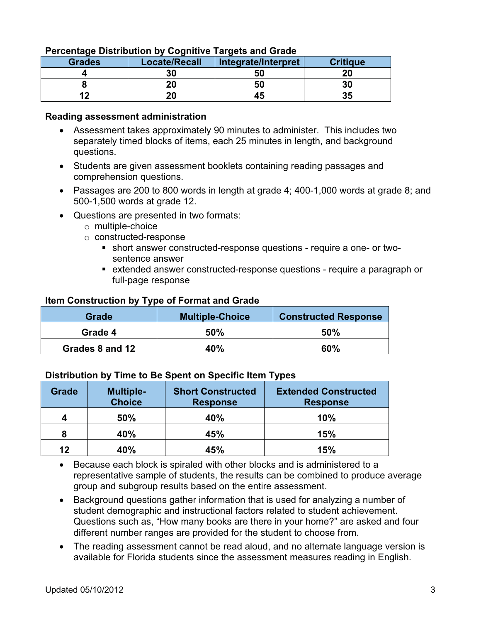| <b>Grades</b> | <b>Locate/Recall</b> | Integrate/Interpret | <b>Critique</b> |
|---------------|----------------------|---------------------|-----------------|
|               | 30                   | 50                  | or              |
|               | 20                   | 50                  | 30              |
| פ ו           | 20                   | 43                  | 35              |

#### **Percentage Distribution by Cognitive Targets and Grade**

#### **Reading assessment administration**

- Assessment takes approximately 90 minutes to administer. This includes two separately timed blocks of items, each 25 minutes in length, and background questions.
- Students are given assessment booklets containing reading passages and comprehension questions.
- Passages are 200 to 800 words in length at grade 4; 400-1,000 words at grade 8; and 500-1,500 words at grade 12.
- Questions are presented in two formats:
	- $\circ$  multiple-choice
	- $\circ$  constructed-response
		- � short answer constructed-response questions require a one- or twosentence answer
		- � extended answer constructed-response questions require a paragraph or full-page response

#### **Item Construction by Type of Format and Grade**

| Grade           | <b>Multiple-Choice</b> | <b>Constructed Response</b> |
|-----------------|------------------------|-----------------------------|
| Grade 4         | 50%                    | 50%                         |
| Grades 8 and 12 | 40%                    | 60%                         |

#### **Distribution by Time to Be Spent on Specific Item Types**

| <b>Grade</b> | <b>Multiple-</b><br><b>Choice</b> | <b>Short Constructed</b><br><b>Response</b> | <b>Extended Constructed</b><br><b>Response</b> |
|--------------|-----------------------------------|---------------------------------------------|------------------------------------------------|
| 4            | 50%                               | 40%                                         | 10%                                            |
| 8            | 40%                               | 45%                                         | 15%                                            |
| 12           | 40%                               | 45%                                         | 15%                                            |

• Because each block is spiraled with other blocks and is administered to a representative sample of students, the results can be combined to produce average group and subgroup results based on the entire assessment.

- Background questions gather information that is used for analyzing a number of student demographic and instructional factors related to student achievement. Questions such as, "How many books are there in your home?" are asked and four different number ranges are provided for the student to choose from.
- The reading assessment cannot be read aloud, and no alternate language version is available for Florida students since the assessment measures reading in English.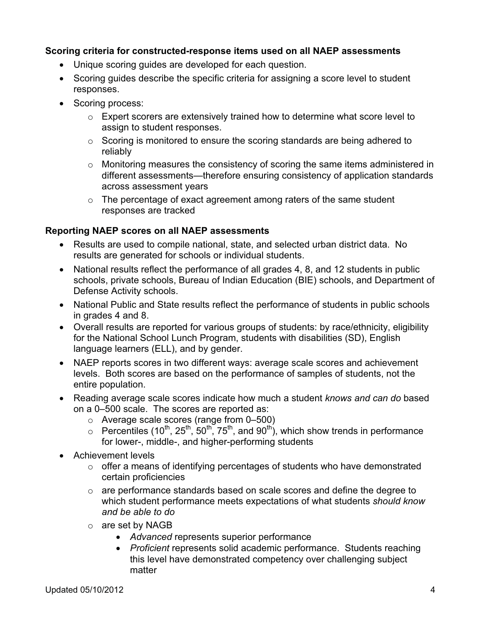#### **Scoring criteria for constructed-response items used on all NAEP assessments**

- Unique scoring guides are developed for each question.
- Scoring guides describe the specific criteria for assigning a score level to student responses.
- Scoring process:
	- $\circ$  Expert scorers are extensively trained how to determine what score level to assign to student responses.
	- $\circ$  Scoring is monitored to ensure the scoring standards are being adhered to reliably
	- $\circ$  Monitoring measures the consistency of scoring the same items administered in different assessments—therefore ensuring consistency of application standards across assessment years
	- $\circ$  The percentage of exact agreement among raters of the same student responses are tracked

# **Reporting NAEP scores on all NAEP assessments**

- Results are used to compile national, state, and selected urban district data. No results are generated for schools or individual students.
- National results reflect the performance of all grades 4, 8, and 12 students in public schools, private schools, Bureau of Indian Education (BIE) schools, and Department of Defense Activity schools.
- National Public and State results reflect the performance of students in public schools in grades 4 and 8.
- Overall results are reported for various groups of students: by race/ethnicity, eligibility for the National School Lunch Program, students with disabilities (SD), English language learners (ELL), and by gender.
- NAEP reports scores in two different ways: average scale scores and achievement levels. Both scores are based on the performance of samples of students, not the entire population.
- • Reading average scale scores indicate how much a student *knows and can do* based on a 0–500 scale. The scores are reported as:
	- $\circ$  Average scale scores (range from 0–500)
	- $\circ$  Percentiles (10<sup>th</sup>, 25<sup>th</sup>, 50<sup>th</sup>, 75<sup>th</sup>, and 90<sup>th</sup>), which show trends in performance for lower-, middle-, and higher-performing students
- • Achievement levels
	- $\circ$  offer a means of identifying percentages of students who have demonstrated certain proficiencies
	- $\circ$  are performance standards based on scale scores and define the degree to which student performance meets expectations of what students *should know and be able to do*
	- $\circ$  are set by NAGB
		- • *Advanced* represents superior performance
		- *Proficient* represents solid academic performance. Students reaching this level have demonstrated competency over challenging subject matter